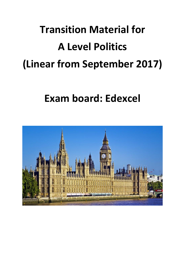# **Transition Material for A Level Politics (Linear from September 2017)**

**Exam board: Edexcel** 

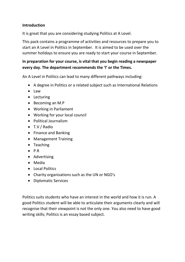#### **Introduction**

It is great that you are considering studying Politics at A Level.

This pack contains a programme of activities and resources to prepare you to start an A Level in Politics in September. It is aimed to be used over the summer holidays to ensure you are ready to start your course in September.

## **In preparation for your course, is vital that you begin reading a newspaper every day. The department recommends the 'I' or the Times.**

An A Level in Politics can lead to many different pathways including:

- A degree in Politics or a related subject such as International Relations
- Law
- Lecturing
- Becoming an M.P
- Working in Parliament
- Working for your local council
- Political Journalism
- T.V / Radio
- Finance and Banking
- Management Training
- Teaching
- $\bullet$  P.R
- Advertising
- Media
- Local Politics
- Charity organisations such as the UN or NGO's
- Diplomatic Services

Politics suits students who have an interest in the world and how it is run. A good Politics student will be able to articulate their arguments clearly and will recognise that their viewpoint is not the only one. You also need to have good writing skills; Politics is an essay based subject.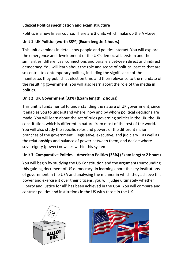## **Edexcel Politics specification and exam structure**

Politics is a new linear course. There are 3 units which make up the A –Level;

# **Unit 1: UK Politics (worth 33%) (Exam length: 2 hours)**

This unit examines in detail how people and politics interact. You will explore the emergence and development of the UK's democratic system and the similarities, differences, connections and parallels between direct and indirect democracy. You will learn about the role and scope of political parties that are so central to contemporary politics, including the significance of the manifestos they publish at election time and their relevance to the mandate of the resulting government. You will also learn about the role of the media in politics.

# **Unit 2: UK Government (33%) (Exam length: 2 hours)**

This unit is fundamental to understanding the nature of UK government, since it enables you to understand where, how and by whom political decisions are made. You will learn about the set of rules governing politics in the UK, the UK constitution, which is different in nature from most of the rest of the world. You will also study the specific roles and powers of the different major branches of the government – legislative, executive, and judiciary – as well as the relationships and balance of power between them, and decide where sovereignty (power) now lies within this system.

# **Unit 3: Comparative Politics – American Politics (33%) (Exam length: 2 hours)**

You will begin by studying the US Constitution and the arguments surrounding this guiding document of US democracy. In learning about the key institutions of government in the USA and analysing the manner in which they achieve this power and exercise it over their citizens, you will judge ultimately whether 'liberty and justice for all' has been achieved in the USA. You will compare and contrast politics and institutions in the US with those in the UK.



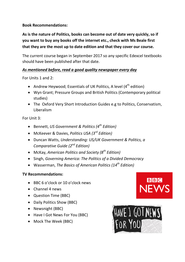#### **Book Recommendations:**

**As is the nature of Politics, books can become out of date very quickly, so if you want to buy any books off the internet etc., check with Ms Beale first that they are the most up to date edition and that they cover our course.** 

The current course began in September 2017 so any specific Edexcel textbooks should have been published after that date.

# *As mentioned before, read a good quality newspaper every day*

For Units 1 and 2:

- Andrew Heywood; Essentials of UK Politics, A level  $(4^{th}$  edition)
- Wyn Grant; Pressure Groups and British Politics (Contemporary political studies)
- The Oxford Very Short Introduction Guides e.g to Politics, Conservatism, Liberalism

For Unit 3:

- Bennett, *US Government & Politics (4th Edition)*
- McKeever & Davies, *Politics USA (3rd Edition)*
- Duncan Watts, *Understanding: US/UK Government & Politics, a Comparative Guide (2nd Edition)*
- McKay, *American Politics and Society (8th Edition)*
- Singh, *Governing America: The Politics of a Divided Democracy*
- Wasserman, *The Basics of American Politics (14th Edition)*

#### **TV Recommendations:**

- BBC 6 o'clock or 10 o'clock news
- Channel 4 news
- Question Time (BBC)
- Daily Politics Show (BBC)
- Newsnight (BBC)
- Have I Got News For You (BBC)
- Mock The Week (BBC)



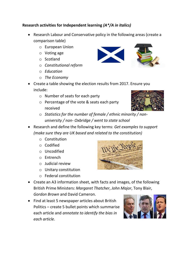## **Research activities for Independent learning** *(A\*/A in italics)*

- Research Labour and Conservative policy in the following areas (create a comparison table)
	- o European Union
	- o Voting age
	- o Scotland
	- o *Constitutional reform*
	- o *Education*
	- o *The Economy*
- Create a table showing the election results from 2017. Ensure you include:
	- o Number of seats for each party
	- o Percentage of the vote & seats each party received
	- o *Statistics for the number of female / ethnic minority / nonuniversity / non- Oxbridge / went to state school*
- Research and define the following key terms: *Get examples to support (make sure they are UK based and related to the constitution)*
	- o Constitution
	- o Codified
	- o Uncodified
	- o Entrench
	- o Judicial review
	- o Unitary constitution
	- o Federal constitution



*Gordon Brown* and David Cameron. • Find at least 5 newspaper articles about British Politics – create 5 bullet points which summarise each article and *annotate to identify the bias in each article.*